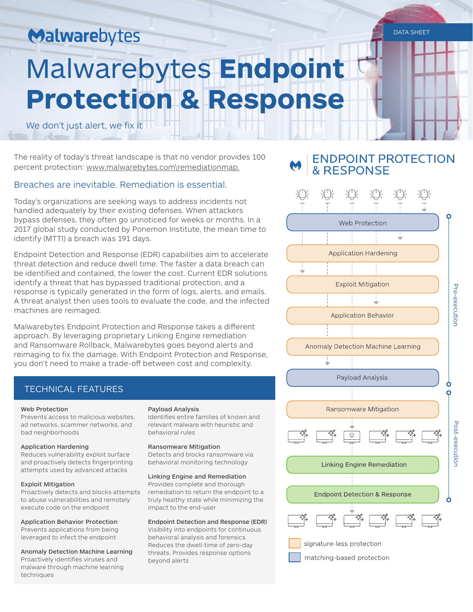# Malwarebytes

# Malwarebytes **Endpoint Protection & Response**

We don't just alert, we fix it

The reality of today's threat landscape is that no vendor provides 100 percent protection: www.malwarebytes.com\remediationmap.

# Breaches are inevitable. Remediation is essential.

Today's organizations are seeking ways to address incidents not handled adequately by their existing defenses. When attackers bypass defenses, they often go unnoticed for weeks or months. In a 2017 global study conducted by Ponemon Institute, the mean time to identify (MTTI) a breach was 191 days.

Endpoint Detection and Response (EDR) capabilities aim to accelerate threat detection and reduce dwell time. The faster a data breach can be identified and contained, the lower the cost. Current EDR solutions identify a threat that has bypassed traditional protection, and a response is typically generated in the form of logs, alerts, and emails. A threat analyst then uses tools to evaluate the code, and the infected machines are reimaged.

Malwarebytes Endpoint Protection and Response takes a different approach. By leveraging proprietary Linking Engine remediation and Ransomware Rollback, Malwarebytes goes beyond alerts and reimaging to fix the damage. With Endpoint Protection and Response, you don't need to make a trade-off between cost and complexity.

# TECHNICAL FEATURES

#### Web Protection

Prevents access to malicious websites, ad networks, scammer networks, and bad neighborhoods

#### Application Hardening

Reduces vulnerability exploit surface and proactively detects fingerprinting attempts used by advanced attacks

#### Exploit Mitigation

Proactively detects and blocks attempts to abuse vulnerabilities and remotely execute code on the endpoint

Application Behavior Protection Prevents applications from being leveraged to infect the endpoint

Anomaly Detection Machine Learning Proactively identifies viruses and malware through machine learning techniques

#### Payload Analysis

Identifies entire families of known and relevant malware with heuristic and behavioral rules

#### Ransomware Mitigation

Detects and blocks ransomware via behavioral monitoring technology

#### Linking Engine and Remediation

Provides complete and thorough remediation to return the endpoint to a truly healthy state while minimizing the impact to the end-user

#### Endpoint Detection and Response (EDR)

Visibility into endpoints for continuous behavioral analysis and forensics. Reduces the dwell-time of zero-day threats. Provides response options beyond alerts





DATA SHEET